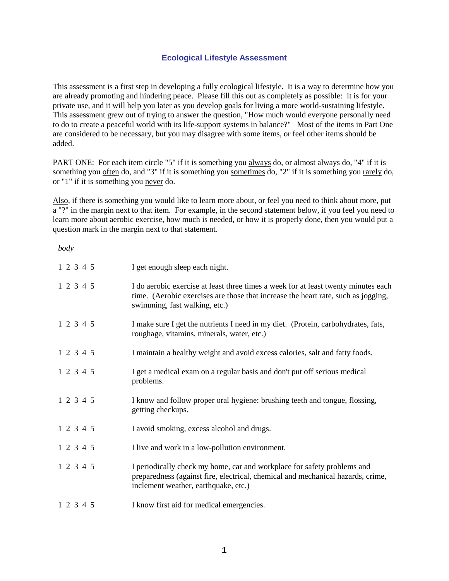# **Ecological Lifestyle Assessment**

This assessment is a first step in developing a fully ecological lifestyle. It is a way to determine how you are already promoting and hindering peace. Please fill this out as completely as possible: It is for your private use, and it will help you later as you develop goals for living a more world-sustaining lifestyle. This assessment grew out of trying to answer the question, "How much would everyone personally need to do to create a peaceful world with its life-support systems in balance?" Most of the items in Part One are considered to be necessary, but you may disagree with some items, or feel other items should be added.

PART ONE: For each item circle "5" if it is something you always do, or almost always do, "4" if it is something you often do, and "3" if it is something you sometimes do, "2" if it is something you rarely do, or "1" if it is something you never do.

Also, if there is something you would like to learn more about, or feel you need to think about more, put a "?" in the margin next to that item. For example, in the second statement below, if you feel you need to learn more about aerobic exercise, how much is needed, or how it is properly done, then you would put a question mark in the margin next to that statement.

*body*

| 1 2 3 4 5 |  | I get enough sleep each night.                                                                                                                                                                           |
|-----------|--|----------------------------------------------------------------------------------------------------------------------------------------------------------------------------------------------------------|
| 1 2 3 4 5 |  | I do aerobic exercise at least three times a week for at least twenty minutes each<br>time. (Aerobic exercises are those that increase the heart rate, such as jogging,<br>swimming, fast walking, etc.) |
| 1 2 3 4 5 |  | I make sure I get the nutrients I need in my diet. (Protein, carbohydrates, fats,<br>roughage, vitamins, minerals, water, etc.)                                                                          |
| 1 2 3 4 5 |  | I maintain a healthy weight and avoid excess calories, salt and fatty foods.                                                                                                                             |
| 1 2 3 4 5 |  | I get a medical exam on a regular basis and don't put off serious medical<br>problems.                                                                                                                   |
| 1 2 3 4 5 |  | I know and follow proper oral hygiene: brushing teeth and tongue, flossing,<br>getting checkups.                                                                                                         |
| 1 2 3 4 5 |  | I avoid smoking, excess alcohol and drugs.                                                                                                                                                               |
| 1 2 3 4 5 |  | I live and work in a low-pollution environment.                                                                                                                                                          |
| 1 2 3 4 5 |  | I periodically check my home, car and workplace for safety problems and<br>preparedness (against fire, electrical, chemical and mechanical hazards, crime,<br>inclement weather, earthquake, etc.)       |
| 1 2 3 4 5 |  | I know first aid for medical emergencies.                                                                                                                                                                |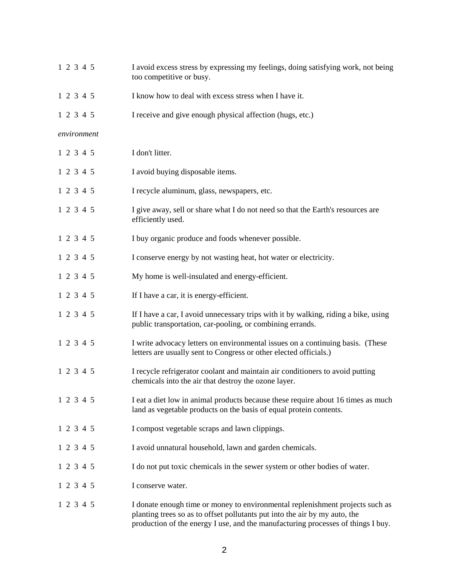| 1 2 3 4 5   | I avoid excess stress by expressing my feelings, doing satisfying work, not being<br>too competitive or busy.                                                                                                                                   |
|-------------|-------------------------------------------------------------------------------------------------------------------------------------------------------------------------------------------------------------------------------------------------|
| 1 2 3 4 5   | I know how to deal with excess stress when I have it.                                                                                                                                                                                           |
| 1 2 3 4 5   | I receive and give enough physical affection (hugs, etc.)                                                                                                                                                                                       |
| environment |                                                                                                                                                                                                                                                 |
| 1 2 3 4 5   | I don't litter.                                                                                                                                                                                                                                 |
| 1 2 3 4 5   | I avoid buying disposable items.                                                                                                                                                                                                                |
| 1 2 3 4 5   | I recycle aluminum, glass, newspapers, etc.                                                                                                                                                                                                     |
| 1 2 3 4 5   | I give away, sell or share what I do not need so that the Earth's resources are<br>efficiently used.                                                                                                                                            |
| 1 2 3 4 5   | I buy organic produce and foods whenever possible.                                                                                                                                                                                              |
| 1 2 3 4 5   | I conserve energy by not wasting heat, hot water or electricity.                                                                                                                                                                                |
| 1 2 3 4 5   | My home is well-insulated and energy-efficient.                                                                                                                                                                                                 |
| 1 2 3 4 5   | If I have a car, it is energy-efficient.                                                                                                                                                                                                        |
| 1 2 3 4 5   | If I have a car, I avoid unnecessary trips with it by walking, riding a bike, using<br>public transportation, car-pooling, or combining errands.                                                                                                |
| 1 2 3 4 5   | I write advocacy letters on environmental issues on a continuing basis. (These<br>letters are usually sent to Congress or other elected officials.)                                                                                             |
| 1 2 3 4 5   | I recycle refrigerator coolant and maintain air conditioners to avoid putting<br>chemicals into the air that destroy the ozone layer.                                                                                                           |
| 1 2 3 4 5   | I eat a diet low in animal products because these require about 16 times as much<br>land as vegetable products on the basis of equal protein contents.                                                                                          |
| 1 2 3 4 5   | I compost vegetable scraps and lawn clippings.                                                                                                                                                                                                  |
| 1 2 3 4 5   | I avoid unnatural household, lawn and garden chemicals.                                                                                                                                                                                         |
| 1 2 3 4 5   | I do not put toxic chemicals in the sewer system or other bodies of water.                                                                                                                                                                      |
| 1 2 3 4 5   | I conserve water.                                                                                                                                                                                                                               |
| 1 2 3 4 5   | I donate enough time or money to environmental replenishment projects such as<br>planting trees so as to offset pollutants put into the air by my auto, the<br>production of the energy I use, and the manufacturing processes of things I buy. |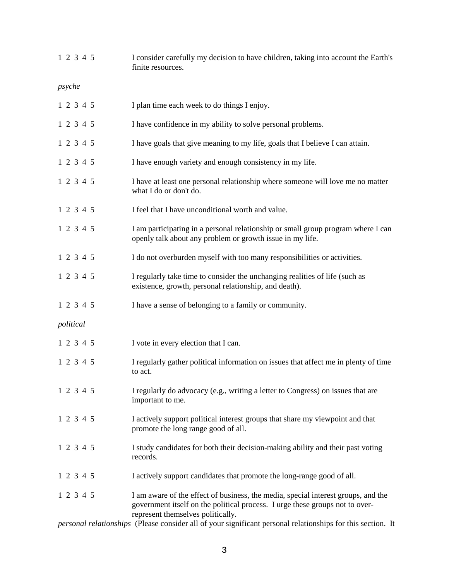| 1 2 3 4 5 | I consider carefully my decision to have children, taking into account the Earth's<br>finite resources.                                                                                                |
|-----------|--------------------------------------------------------------------------------------------------------------------------------------------------------------------------------------------------------|
| psyche    |                                                                                                                                                                                                        |
| 1 2 3 4 5 | I plan time each week to do things I enjoy.                                                                                                                                                            |
| 1 2 3 4 5 | I have confidence in my ability to solve personal problems.                                                                                                                                            |
| 1 2 3 4 5 | I have goals that give meaning to my life, goals that I believe I can attain.                                                                                                                          |
| 1 2 3 4 5 | I have enough variety and enough consistency in my life.                                                                                                                                               |
| 1 2 3 4 5 | I have at least one personal relationship where someone will love me no matter<br>what I do or don't do.                                                                                               |
| 1 2 3 4 5 | I feel that I have unconditional worth and value.                                                                                                                                                      |
| 1 2 3 4 5 | I am participating in a personal relationship or small group program where I can<br>openly talk about any problem or growth issue in my life.                                                          |
| 1 2 3 4 5 | I do not overburden myself with too many responsibilities or activities.                                                                                                                               |
| 1 2 3 4 5 | I regularly take time to consider the unchanging realities of life (such as<br>existence, growth, personal relationship, and death).                                                                   |
| 1 2 3 4 5 | I have a sense of belonging to a family or community.                                                                                                                                                  |
| political |                                                                                                                                                                                                        |
| 1 2 3 4 5 | I vote in every election that I can.                                                                                                                                                                   |
| 1 2 3 4 5 | I regularly gather political information on issues that affect me in plenty of time<br>to act.                                                                                                         |
| 1 2 3 4 5 | I regularly do advocacy (e.g., writing a letter to Congress) on issues that are<br>important to me.                                                                                                    |
| 1 2 3 4 5 | I actively support political interest groups that share my viewpoint and that<br>promote the long range good of all.                                                                                   |
| 1 2 3 4 5 | I study candidates for both their decision-making ability and their past voting<br>records.                                                                                                            |
| 1 2 3 4 5 | I actively support candidates that promote the long-range good of all.                                                                                                                                 |
| 1 2 3 4 5 | I am aware of the effect of business, the media, special interest groups, and the<br>government itself on the political process. I urge these groups not to over-<br>represent themselves politically. |

*personal relationships* (Please consider all of your significant personal relationships for this section. It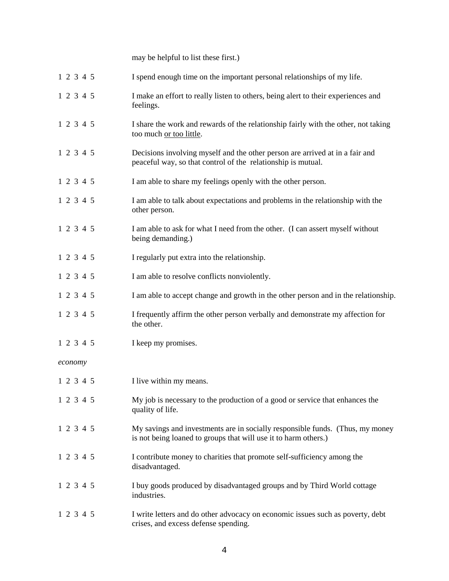may be helpful to list these first.)

| 1 2 3 4 5 | I spend enough time on the important personal relationships of my life. |
|-----------|-------------------------------------------------------------------------|
|           |                                                                         |

- 1 2 3 4 5 I make an effort to really listen to others, being alert to their experiences and feelings.
- 1 2 3 4 5 I share the work and rewards of the relationship fairly with the other, not taking too much or too little.
- 1 2 3 4 5 Decisions involving myself and the other person are arrived at in a fair and peaceful way, so that control of the relationship is mutual.
- 1 2 3 4 5 I am able to share my feelings openly with the other person.
- 1 2 3 4 5 I am able to talk about expectations and problems in the relationship with the other person.
- 1 2 3 4 5 I am able to ask for what I need from the other. (I can assert myself without being demanding.)
- 1 2 3 4 5 I regularly put extra into the relationship.
- 1 2 3 4 5 I am able to resolve conflicts nonviolently.
- 1 2 3 4 5 I am able to accept change and growth in the other person and in the relationship.
- 1 2 3 4 5 I frequently affirm the other person verbally and demonstrate my affection for the other.
- 1 2 3 4 5 I keep my promises.
- *economy*
- 1 2 3 4 5 I live within my means.
- 1 2 3 4 5 My job is necessary to the production of a good or service that enhances the quality of life.
- 1 2 3 4 5 My savings and investments are in socially responsible funds. (Thus, my money is not being loaned to groups that will use it to harm others.)
- 1 2 3 4 5 I contribute money to charities that promote self-sufficiency among the disadvantaged.
- 1 2 3 4 5 I buy goods produced by disadvantaged groups and by Third World cottage industries.
- 1 2 3 4 5 I write letters and do other advocacy on economic issues such as poverty, debt crises, and excess defense spending.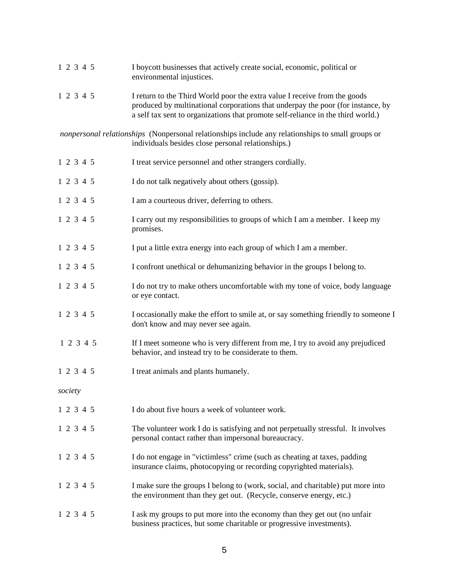| 1 2 3 4 5 | I boycott businesses that actively create social, economic, political or<br>environmental injustices.                                                                                                                                            |
|-----------|--------------------------------------------------------------------------------------------------------------------------------------------------------------------------------------------------------------------------------------------------|
| 1 2 3 4 5 | I return to the Third World poor the extra value I receive from the goods<br>produced by multinational corporations that underpay the poor (for instance, by<br>a self tax sent to organizations that promote self-reliance in the third world.) |
|           | nonpersonal relationships (Nonpersonal relationships include any relationships to small groups or<br>individuals besides close personal relationships.)                                                                                          |
| 1 2 3 4 5 | I treat service personnel and other strangers cordially.                                                                                                                                                                                         |
| 1 2 3 4 5 | I do not talk negatively about others (gossip).                                                                                                                                                                                                  |
| 1 2 3 4 5 | I am a courteous driver, deferring to others.                                                                                                                                                                                                    |
| 1 2 3 4 5 | I carry out my responsibilities to groups of which I am a member. I keep my<br>promises.                                                                                                                                                         |
| 1 2 3 4 5 | I put a little extra energy into each group of which I am a member.                                                                                                                                                                              |
| 1 2 3 4 5 | I confront unethical or dehumanizing behavior in the groups I belong to.                                                                                                                                                                         |
| 1 2 3 4 5 | I do not try to make others uncomfortable with my tone of voice, body language<br>or eye contact.                                                                                                                                                |
| 1 2 3 4 5 | I occasionally make the effort to smile at, or say something friendly to someone I<br>don't know and may never see again.                                                                                                                        |
| 1 2 3 4 5 | If I meet someone who is very different from me, I try to avoid any prejudiced<br>behavior, and instead try to be considerate to them.                                                                                                           |
| 1 2 3 4 5 | I treat animals and plants humanely.                                                                                                                                                                                                             |
| society   |                                                                                                                                                                                                                                                  |
| 1 2 3 4 5 | I do about five hours a week of volunteer work.                                                                                                                                                                                                  |
| 1 2 3 4 5 | The volunteer work I do is satisfying and not perpetually stressful. It involves<br>personal contact rather than impersonal bureaucracy.                                                                                                         |
| 1 2 3 4 5 | I do not engage in "victimless" crime (such as cheating at taxes, padding<br>insurance claims, photocopying or recording copyrighted materials).                                                                                                 |
| 1 2 3 4 5 | I make sure the groups I belong to (work, social, and charitable) put more into<br>the environment than they get out. (Recycle, conserve energy, etc.)                                                                                           |
| 1 2 3 4 5 | I ask my groups to put more into the economy than they get out (no unfair<br>business practices, but some charitable or progressive investments).                                                                                                |

5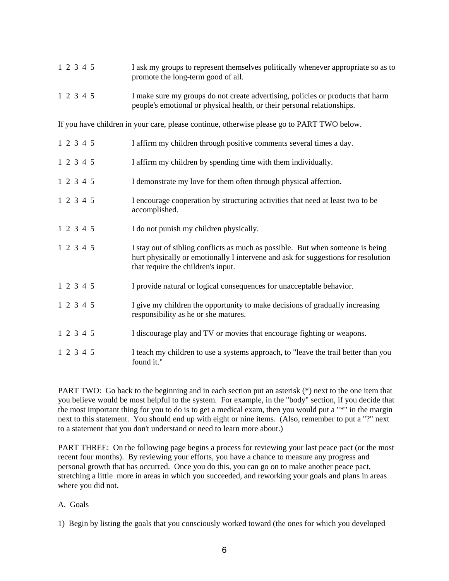| 1 2 3 4 5                                                                                  | I ask my groups to represent themselves politically whenever appropriate so as to<br>promote the long-term good of all.                                                                                   |  |
|--------------------------------------------------------------------------------------------|-----------------------------------------------------------------------------------------------------------------------------------------------------------------------------------------------------------|--|
| 1 2 3 4 5                                                                                  | I make sure my groups do not create advertising, policies or products that harm<br>people's emotional or physical health, or their personal relationships.                                                |  |
| If you have children in your care, please continue, otherwise please go to PART TWO below. |                                                                                                                                                                                                           |  |
| 1 2 3 4 5                                                                                  | I affirm my children through positive comments several times a day.                                                                                                                                       |  |
| 1 2 3 4 5                                                                                  | I affirm my children by spending time with them individually.                                                                                                                                             |  |
| 1 2 3 4 5                                                                                  | I demonstrate my love for them often through physical affection.                                                                                                                                          |  |
| 1 2 3 4 5                                                                                  | I encourage cooperation by structuring activities that need at least two to be<br>accomplished.                                                                                                           |  |
| 1 2 3 4 5                                                                                  | I do not punish my children physically.                                                                                                                                                                   |  |
| 1 2 3 4 5                                                                                  | I stay out of sibling conflicts as much as possible. But when someone is being<br>hurt physically or emotionally I intervene and ask for suggestions for resolution<br>that require the children's input. |  |
| 1 2 3 4 5                                                                                  | I provide natural or logical consequences for unacceptable behavior.                                                                                                                                      |  |
| 1 2 3 4 5                                                                                  | I give my children the opportunity to make decisions of gradually increasing<br>responsibility as he or she matures.                                                                                      |  |
| 1 2 3 4 5                                                                                  | I discourage play and TV or movies that encourage fighting or weapons.                                                                                                                                    |  |
| 1 2 3 4 5                                                                                  | I teach my children to use a systems approach, to "leave the trail better than you<br>found it."                                                                                                          |  |

PART TWO: Go back to the beginning and in each section put an asterisk (\*) next to the one item that you believe would be most helpful to the system. For example, in the "body" section, if you decide that the most important thing for you to do is to get a medical exam, then you would put a "\*" in the margin next to this statement. You should end up with eight or nine items. (Also, remember to put a "?" next to a statement that you don't understand or need to learn more about.)

PART THREE: On the following page begins a process for reviewing your last peace pact (or the most recent four months). By reviewing your efforts, you have a chance to measure any progress and personal growth that has occurred. Once you do this, you can go on to make another peace pact, stretching a little more in areas in which you succeeded, and reworking your goals and plans in areas where you did not.

# A. Goals

1) Begin by listing the goals that you consciously worked toward (the ones for which you developed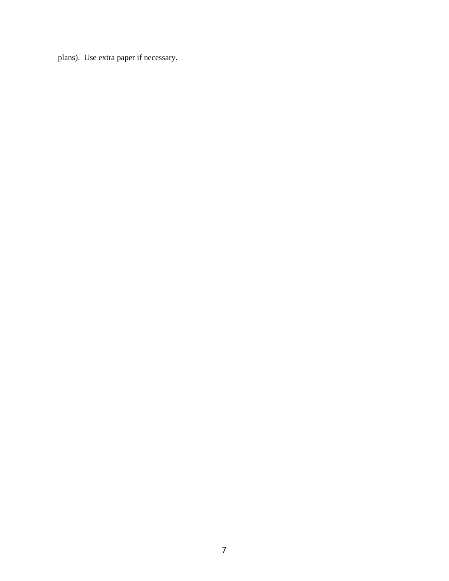plans). Use extra paper if necessary.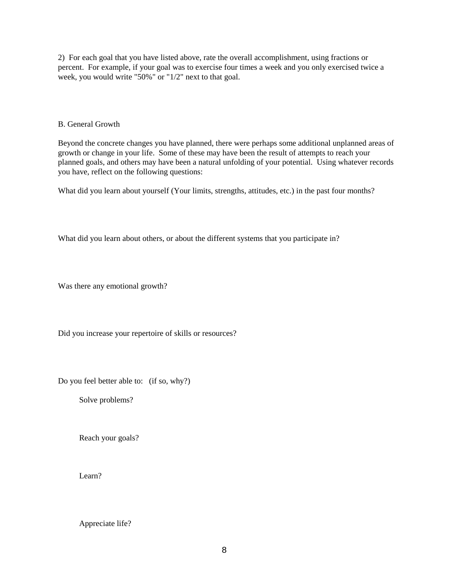2) For each goal that you have listed above, rate the overall accomplishment, using fractions or percent. For example, if your goal was to exercise four times a week and you only exercised twice a week, you would write "50%" or "1/2" next to that goal.

#### B. General Growth

Beyond the concrete changes you have planned, there were perhaps some additional unplanned areas of growth or change in your life. Some of these may have been the result of attempts to reach your planned goals, and others may have been a natural unfolding of your potential. Using whatever records you have, reflect on the following questions:

What did you learn about yourself (Your limits, strengths, attitudes, etc.) in the past four months?

What did you learn about others, or about the different systems that you participate in?

Was there any emotional growth?

Did you increase your repertoire of skills or resources?

Do you feel better able to: (if so, why?)

Solve problems?

Reach your goals?

Learn?

## Appreciate life?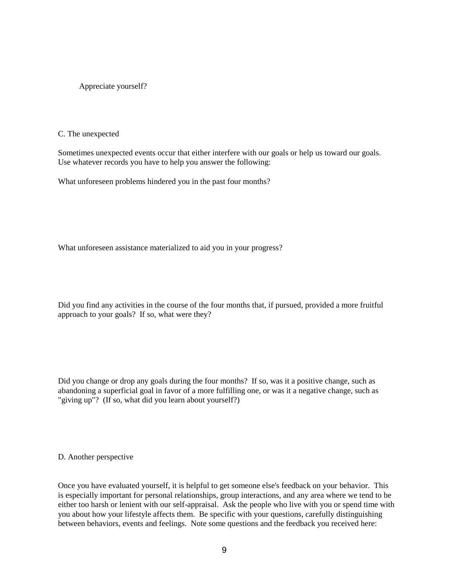Appreciate yourself?

C. The unexpected

Sometimes unexpected events occur that either interfere with our goals or help us toward our goals. Use whatever records you have to help you answer the following:

What unforeseen problems hindered you in the past four months?

What unforeseen assistance materialized to aid you in your progress?

Did you find any activities in the course of the four months that, if pursued, provided a more fruitful approach to your goals? If so, what were they?

Did you change or drop any goals during the four months? If so, was it a positive change, such as abandoning a superficial goal in favor of a more fulfilling one, or was it a negative change, such as "giving up"? (If so, what did you learn about yourself?)

#### D. Another perspective

Once you have evaluated yourself, it is helpful to get someone else's feedback on your behavior. This is especially important for personal relationships, group interactions, and any area where we tend to be either too harsh or lenient with our self-appraisal. Ask the people who live with you or spend time with you about how your lifestyle affects them. Be specific with your questions, carefully distinguishing between behaviors, events and feelings. Note some questions and the feedback you received here: